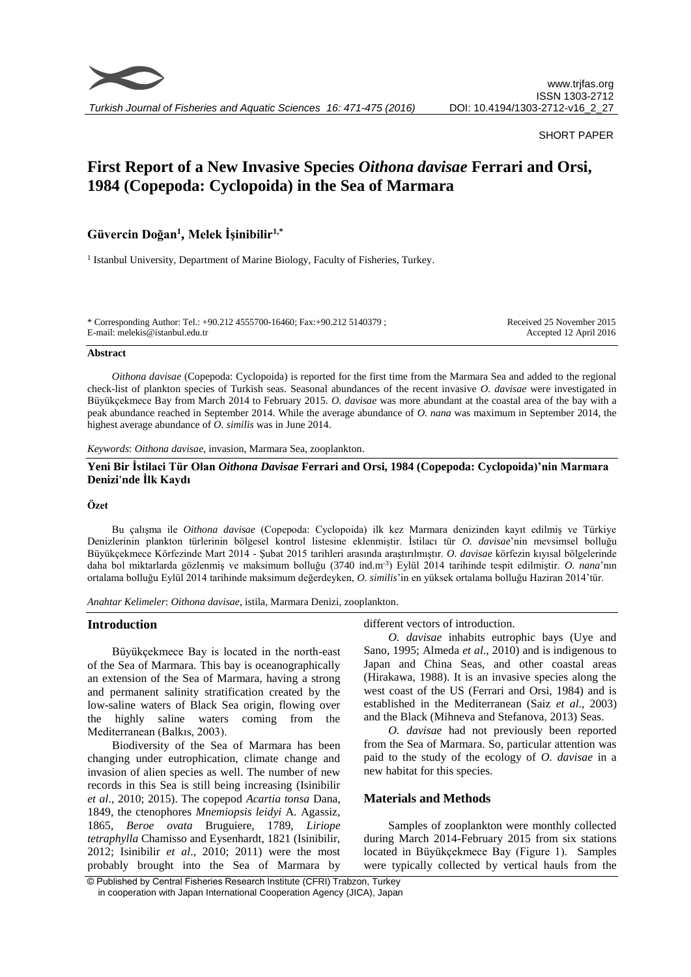

*Turkish Journal of Fisheries and Aquatic Sciences 16: 471-475 (2016)*

## SHORT PAPER

# **First Report of a New Invasive Species** *Oithona davisae* **Ferrari and Orsi, 1984 (Copepoda: Cyclopoida) in the Sea of Marmara**

## **Güvercin Doğan<sup>1</sup> , Melek İşinibilir1,\***

<sup>1</sup> Istanbul University, Department of Marine Biology, Faculty of Fisheries, Turkey.

\* Corresponding Author: Tel.: +90.212 4555700-16460; Fax:+90.212 5140379 ; E-mail: melekis@istanbul.edu.tr

Received 25 November 2015 Accepted 12 April 2016

#### **Abstract**

*Oithona davisae* (Copepoda: Cyclopoida) is reported for the first time from the Marmara Sea and added to the regional check-list of plankton species of Turkish seas. Seasonal abundances of the recent invasive *O. davisae* were investigated in Büyükçekmece Bay from March 2014 to February 2015. *O. davisae* was more abundant at the coastal area of the bay with a peak abundance reached in September 2014. While the average abundance of *O. nana* was maximum in September 2014, the highest average abundance of *O. similis* was in June 2014.

*Keywords*: *Oithona davisae*, invasion, Marmara Sea, zooplankton.

## **Yeni Bir İstilaci Tür Olan** *Oithona Davisae* **Ferrari and Orsi, 1984 (Copepoda: Cyclopoida)'nin Marmara Denizi'nde İlk Kaydı**

## **Özet**

Bu çalışma ile *Oithona davisae* (Copepoda: Cyclopoida) ilk kez Marmara denizinden kayıt edilmiş ve Türkiye Denizlerinin plankton türlerinin bölgesel kontrol listesine eklenmiştir. İstilacı tür *O. davisae*'nin mevsimsel bolluğu Büyükçekmece Körfezinde Mart 2014 - Şubat 2015 tarihleri arasında araştırılmıştır. *O. davisae* körfezin kıyısal bölgelerinde daha bol miktarlarda gözlenmiş ve maksimum bolluğu (3740 ind.m-3 ) Eylül 2014 tarihinde tespit edilmiştir. *O. nana*'nın ortalama bolluğu Eylül 2014 tarihinde maksimum değerdeyken, *O. similis*'in en yüksek ortalama bolluğu Haziran 2014'tür.

*Anahtar Kelimeler*: *Oithona davisae*, istila, Marmara Denizi, zooplankton.

#### **Introduction**

Büyükçekmece Bay is located in the north-east of the Sea of Marmara. This bay is oceanographically an extension of the Sea of Marmara, having a strong and permanent salinity stratification created by the low-saline waters of Black Sea origin, flowing over the highly saline waters coming from the Mediterranean (Balkıs, 2003).

Biodiversity of the Sea of Marmara has been changing under eutrophication, climate change and invasion of alien species as well. The number of new records in this Sea is still being increasing (Isinibilir *et al*., 2010; 2015). The copepod *Acartia tonsa* Dana, 1849, the ctenophores *Mnemiopsis leidyi* A. Agassiz, 1865, *Beroe ovata* Bruguiere, 1789, *Liriope tetraphylla* Chamisso and Eysenhardt, 1821 (Isinibilir, 2012; Isinibilir *et al*., 2010; 2011) were the most probably brought into the Sea of Marmara by different vectors of introduction.

*O. davisae* inhabits eutrophic bays (Uye and Sano, 1995; Almeda *et al*., 2010) and is indigenous to Japan and China Seas, and other coastal areas (Hirakawa, 1988). It is an invasive species along the west coast of the US (Ferrari and Orsi, 1984) and is established in the Mediterranean (Saiz *et al*., 2003) and the Black (Mihneva and Stefanova, 2013) Seas.

*O. davisae* had not previously been reported from the Sea of Marmara. So, particular attention was paid to the study of the ecology of *O. davisae* in a new habitat for this species.

## **Materials and Methods**

Samples of zooplankton were monthly collected during March 2014-February 2015 from six stations located in Büyükçekmece Bay (Figure 1). Samples were typically collected by vertical hauls from the

<sup>©</sup> Published by Central Fisheries Research Institute (CFRI) Trabzon, Turkey in cooperation with Japan International Cooperation Agency (JICA), Japan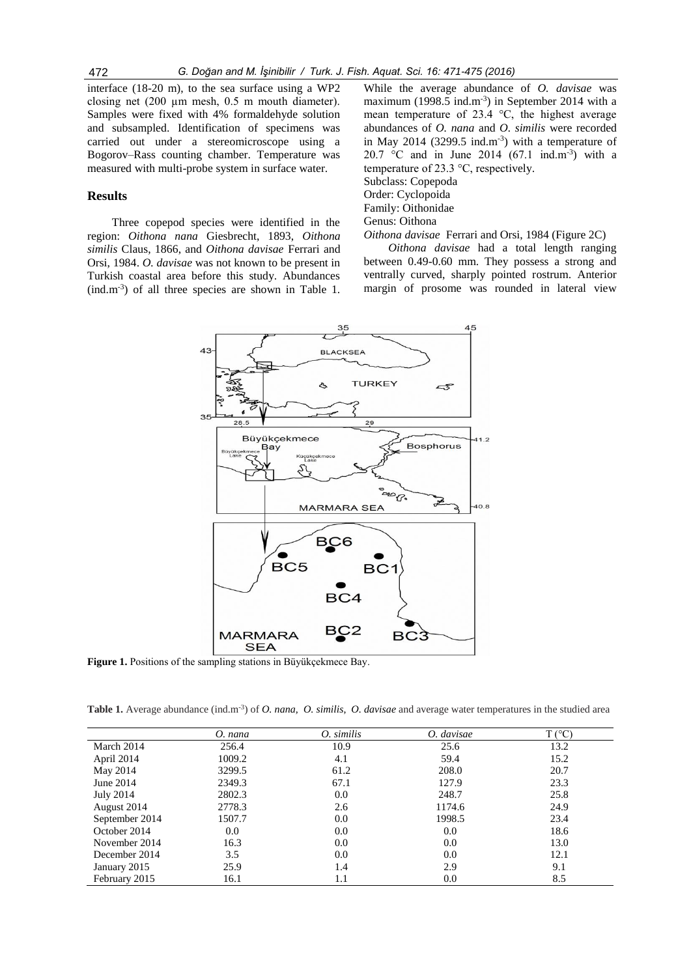interface (18-20 m), to the sea surface using a WP2 closing net (200 µm mesh, 0.5 m mouth diameter). Samples were fixed with 4% formaldehyde solution and subsampled. Identification of specimens was carried out under a stereomicroscope using a Bogorov–Rass counting chamber. Temperature was measured with multi-probe system in surface water.

## **Results**

Three copepod species were identified in the region: *Oithona nana* Giesbrecht, 1893, *Oithona similis* Claus, 1866, and *Oithona davisae* Ferrari and Orsi, 1984. *O. davisae* was not known to be present in Turkish coastal area before this study. Abundances  $(ind.m<sup>-3</sup>)$  of all three species are shown in Table 1.

While the average abundance of *O. davisae* was maximum (1998.5 ind.m<sup>-3</sup>) in September 2014 with a mean temperature of 23.4 °C, the highest average abundances of *O. nana* and *O. similis* were recorded in May 2014 (3299.5 ind.m<sup>-3</sup>) with a temperature of 20.7 °C and in June 2014 (67.1 ind.m<sup>-3</sup>) with a temperature of 23.3 °C, respectively. Subclass: Copepoda Order: Cyclopoida Family: Oithonidae Genus: Oithona

*Oithona davisae* Ferrari and Orsi, 1984 (Figure 2C) *Oithona davisae* had a total length ranging between 0.49-0.60 mm. They possess a strong and ventrally curved, sharply pointed rostrum. Anterior margin of prosome was rounded in lateral view



**Figure 1.** Positions of the sampling stations in Büyükçekmece Bay.

**Table 1.** Average abundance (ind.m-3 ) of *O. nana, O. similis*, *O. davisae* and average water temperatures in the studied area

|                  | O. nana | O. similis | O. davisae | T(°C) |
|------------------|---------|------------|------------|-------|
| March 2014       | 256.4   | 10.9       | 25.6       | 13.2  |
| April 2014       | 1009.2  | 4.1        | 59.4       | 15.2  |
| May 2014         | 3299.5  | 61.2       | 208.0      | 20.7  |
| June 2014        | 2349.3  | 67.1       | 127.9      | 23.3  |
| <b>July 2014</b> | 2802.3  | 0.0        | 248.7      | 25.8  |
| August 2014      | 2778.3  | 2.6        | 1174.6     | 24.9  |
| September 2014   | 1507.7  | 0.0        | 1998.5     | 23.4  |
| October 2014     | 0.0     | 0.0        | 0.0        | 18.6  |
| November 2014    | 16.3    | 0.0        | 0.0        | 13.0  |
| December 2014    | 3.5     | 0.0        | 0.0        | 12.1  |
| January 2015     | 25.9    | 1.4        | 2.9        | 9.1   |
| February 2015    | 16.1    | 1.1        | 0.0        | 8.5   |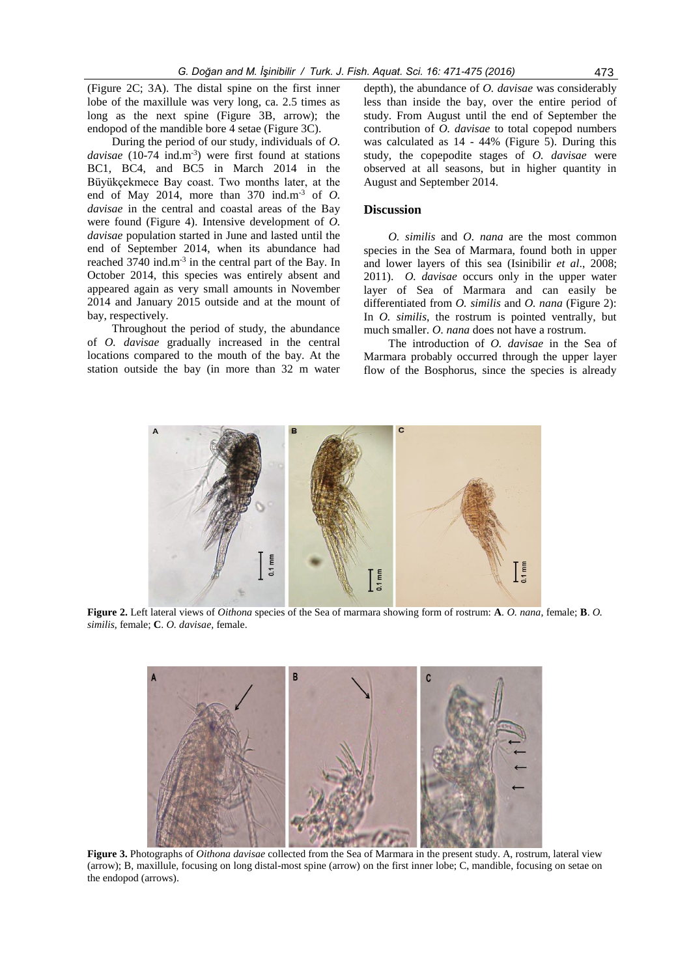(Figure 2C; 3A). The distal spine on the first inner lobe of the maxillule was very long, ca. 2.5 times as long as the next spine (Figure 3B, arrow); the endopod of the mandible bore 4 setae (Figure 3C).

During the period of our study, individuals of *O.*  davisae (10-74 ind.m<sup>-3</sup>) were first found at stations BC1, BC4, and BC5 in March 2014 in the Büyükçekmece Bay coast. Two months later, at the end of May 2014, more than 370 ind.m-3 of *O. davisae* in the central and coastal areas of the Bay were found (Figure 4). Intensive development of *O. davisae* population started in June and lasted until the end of September 2014, when its abundance had reached 3740 ind.m<sup>-3</sup> in the central part of the Bay. In October 2014, this species was entirely absent and appeared again as very small amounts in November 2014 and January 2015 outside and at the mount of bay, respectively.

Throughout the period of study, the abundance of *O. davisae* gradually increased in the central locations compared to the mouth of the bay. At the station outside the bay (in more than 32 m water depth), the abundance of *O. davisae* was considerably less than inside the bay, over the entire period of study. From August until the end of September the contribution of *O. davisae* to total copepod numbers was calculated as 14 - 44% (Figure 5). During this study, the copepodite stages of *O. davisae* were observed at all seasons, but in higher quantity in August and September 2014.

## **Discussion**

*O. similis* and *O. nana* are the most common species in the Sea of Marmara, found both in upper and lower layers of this sea (Isinibilir *et al*., 2008; 2011). *O. davisae* occurs only in the upper water layer of Sea of Marmara and can easily be differentiated from *O. similis* and *O. nana* (Figure 2): In *O. similis*, the rostrum is pointed ventrally, but much smaller. *O. nana* does not have a rostrum.

The introduction of *O. davisae* in the Sea of Marmara probably occurred through the upper layer flow of the Bosphorus, since the species is already



**Figure 2.** Left lateral views of *Oithona* species of the Sea of marmara showing form of rostrum: **A**. *O. nana*, female; **B**. *O. similis*, female; **C**. *O. davisae,* female.



**Figure 3.** Photographs of *Oithona davisae* collected from the Sea of Marmara in the present study. A, rostrum, lateral view (arrow); B, maxillule, focusing on long distal-most spine (arrow) on the first inner lobe; C, mandible, focusing on setae on the endopod (arrows).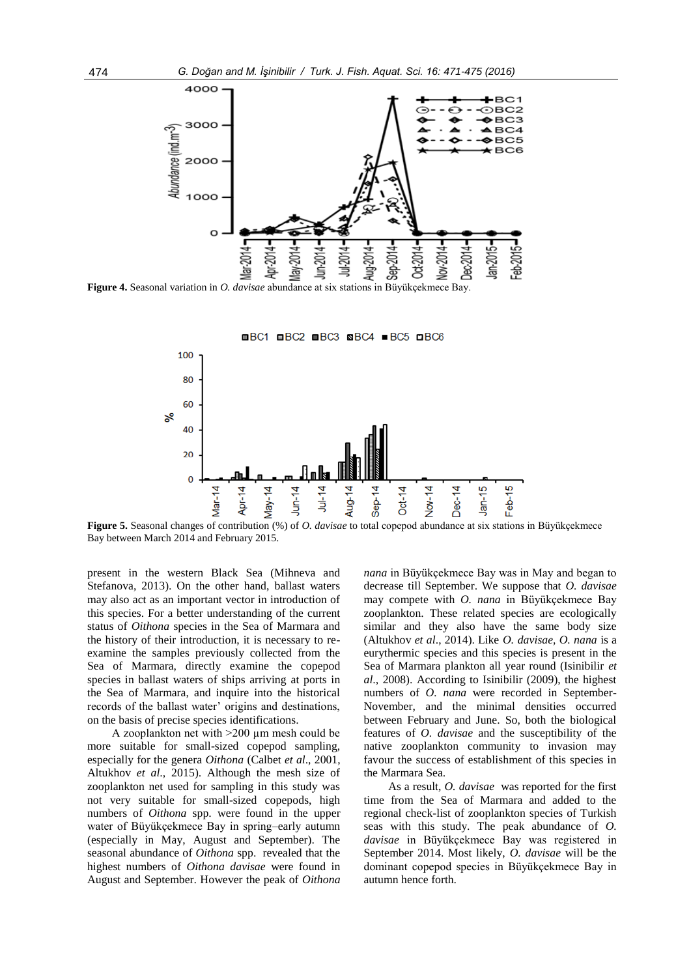

**Figure 4.** Seasonal variation in *O. davisae* abundance at six stations in Büyükçekmece Bay.



**Figure 5.** Seasonal changes of contribution (%) of *O. davisae* to total copepod abundance at six stations in Büyükçekmece Bay between March 2014 and February 2015.

present in the western Black Sea (Mihneva and Stefanova, 2013). On the other hand, ballast waters may also act as an important vector in introduction of this species. For a better understanding of the current status of *Oithona* species in the Sea of Marmara and the history of their introduction, it is necessary to reexamine the samples previously collected from the Sea of Marmara, directly examine the copepod species in ballast waters of ships arriving at ports in the Sea of Marmara, and inquire into the historical records of the ballast water' origins and destinations, on the basis of precise species identifications.

A zooplankton net with >200 µm mesh could be more suitable for small-sized copepod sampling, especially for the genera *Oithona* (Calbet *et al*., 2001, Altukhov *et al*., 2015). Although the mesh size of zooplankton net used for sampling in this study was not very suitable for small-sized copepods, high numbers of *Oithona* spp. were found in the upper water of Büyükçekmece Bay in spring–early autumn (especially in May, August and September). The seasonal abundance of *Oithona* spp. revealed that the highest numbers of *Oithona davisae* were found in August and September. However the peak of *Oithona*  *nana* in Büyükçekmece Bay was in May and began to decrease till September. We suppose that *O. davisae* may compete with *O. nana* in Büyükçekmece Bay zooplankton. These related species are ecologically similar and they also have the same body size (Altukhov *et al*., 2014). Like *O. davisae, O. nana* is a eurythermic species and this species is present in the Sea of Marmara plankton all year round (Isinibilir *et al*., 2008). According to Isinibilir (2009), the highest numbers of *O. nana* were recorded in September-November, and the minimal densities occurred between February and June. So, both the biological features of *O. davisae* and the susceptibility of the native zooplankton community to invasion may favour the success of establishment of this species in the Marmara Sea.

As a result, *O. davisae* was reported for the first time from the Sea of Marmara and added to the regional check-list of zooplankton species of Turkish seas with this study. The peak abundance of *O. davisae* in Büyükçekmece Bay was registered in September 2014. Most likely, *O. davisae* will be the dominant copepod species in Büyükçekmece Bay in autumn hence forth.